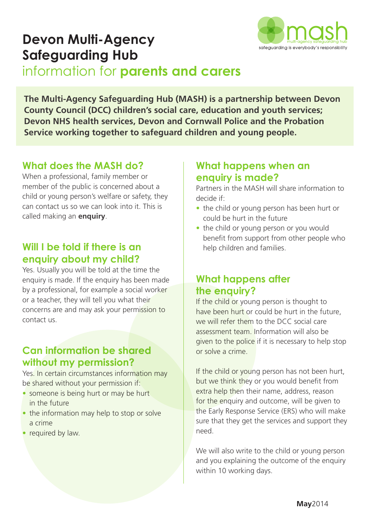

# **Devon Multi-Agency Safeguarding Hub**

information for **parents and carers**

**The Multi-Agency Safeguarding Hub (MASH) is a partnership between Devon County Council (DCC) children's social care, education and youth services; Devon NHS health services, Devon and Cornwall Police and the Probation Service working together to safeguard children and young people.**

### **What does the MASH do?**

When a professional, family member or member of the public is concerned about a child or young person's welfare or safety, they can contact us so we can look into it. This is called making an **enquiry**.

### **Will I be told if there is an enquiry about my child?**

Yes. Usually you will be told at the time the enquiry is made. If the enquiry has been made by a professional, for example a social worker or a teacher, they will tell you what their concerns are and may ask your permission to contact us.

## **Can information be shared without my permission?**

Yes. In certain circumstances information may be shared without your permission if:

- someone is being hurt or may be hurt in the future
- the information may help to stop or solve a crime
- required by law.

## **What happens when an enquiry is made?**

Partners in the MASH will share information to decide if:

- the child or young person has been hurt or could be hurt in the future
- the child or young person or you would benefit from support from other people who help children and families.

# **What happens after the enquiry?**

If the child or young person is thought to have been hurt or could be hurt in the future, we will refer them to the DCC social care assessment team. Information will also be given to the police if it is necessary to help stop or solve a crime.

If the child or young person has not been hurt, but we think they or you would benefit from extra help then their name, address, reason for the enquiry and outcome, will be given to the Early Response Service (ERS) who will make sure that they get the services and support they need.

We will also write to the child or young person and you explaining the outcome of the enquiry within 10 working days.